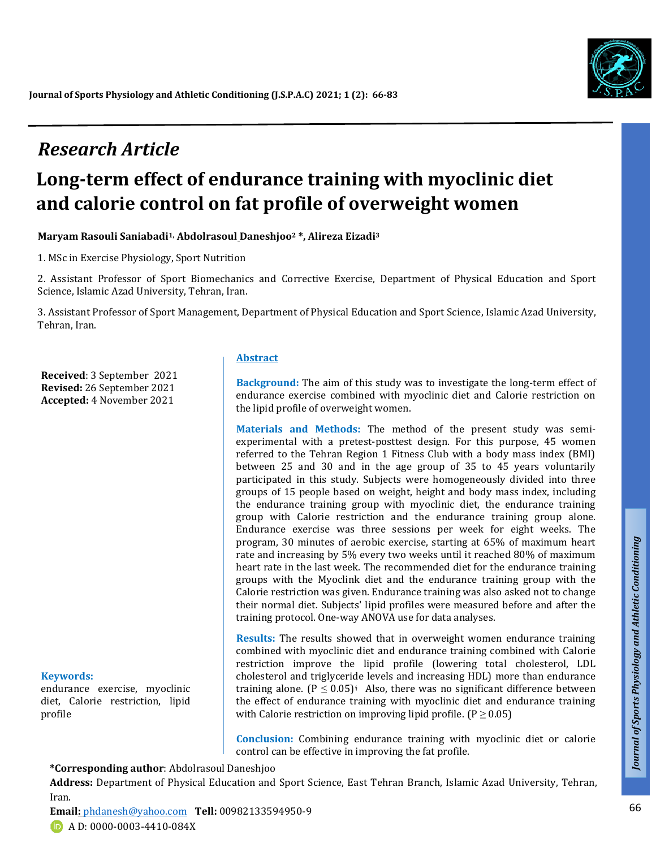# *Research Article*

# **Long-term effect of endurance training with myoclinic diet and calorie control on fat profile of overweight women**

**Maryam Rasouli Saniabadi1, Abdolrasoul Daneshjoo<sup>2</sup> \*, Alireza Eizadi<sup>3</sup>**

1. MSc in Exercise Physiology, Sport Nutrition

2. Assistant Professor of Sport Biomechanics and Corrective Exercise, Department of Physical Education and Sport Science, Islamic Azad University, Tehran, Iran.

3. Assistant Professor of Sport Management, Department of Physical Education and Sport Science, Islamic Azad University, Tehran, Iran.

**Received**: 3 September 2021 **Revised:** 26 September 2021 **Accepted:** 4 November 2021

#### **Keywords:**

endurance exercise, myoclinic diet, Calorie restriction, lipid profile

#### **Abstract**

**Background:** The aim of this study was to investigate the long-term effect of endurance exercise combined with myoclinic diet and Calorie restriction on the lipid profile of overweight women.

**Materials and Methods:** The method of the present study was semiexperimental with a pretest-posttest design. For this purpose, 45 women referred to the Tehran Region 1 Fitness Club with a body mass index (BMI) between 25 and 30 and in the age group of 35 to 45 years voluntarily participated in this study. Subjects were homogeneously divided into three groups of 15 people based on weight, height and body mass index, including the endurance training group with myoclinic diet, the endurance training group with Calorie restriction and the endurance training group alone. Endurance exercise was three sessions per week for eight weeks. The program, 30 minutes of aerobic exercise, starting at 65% of maximum heart rate and increasing by 5% every two weeks until it reached 80% of maximum heart rate in the last week. The recommended diet for the endurance training groups with the Myoclink diet and the endurance training group with the Calorie restriction was given. Endurance training was also asked not to change their normal diet. Subjects' lipid profiles were measured before and after the training protocol. One-way ANOVA use for data analyses.

**Results:** The results showed that in overweight women endurance training combined with myoclinic diet and endurance training combined with Calorie restriction improve the lipid profile (lowering total cholesterol, LDL cholesterol and triglyceride levels and increasing HDL) more than endurance training alone. ( $P \le 0.05$ ): Also, there was no significant difference between the effect of endurance training with myoclinic diet and endurance training with Calorie restriction on improving lipid profile.  $(P \ge 0.05)$ 

**Conclusion:** Combining endurance training with myoclinic diet or calorie control can be effective in improving the fat profile.

**\*Corresponding author**: Abdolrasoul Daneshjoo

**Address:** Department of Physical Education and Sport Science, East Tehran Branch, Islamic Azad University, Tehran, Iran.

**Email:** [phdanesh@yahoo.com](mailto:hdanesh@yahoo.com) **Tell:** 00982133594950-9 **D** A D: 0000-0003-4410-084X



*Talk*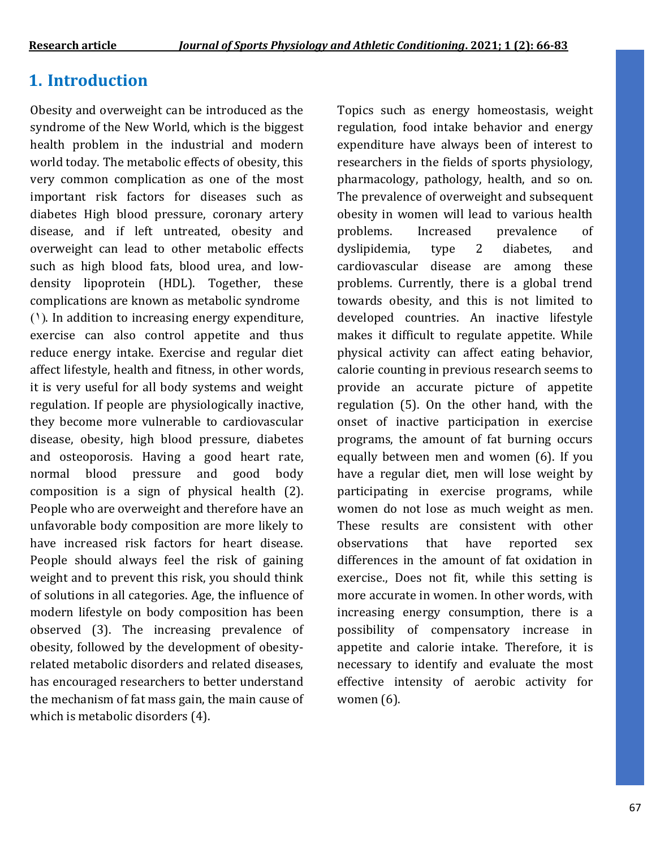## **1. Introduction**

Obesity and overweight can be introduced as the syndrome of the New World, which is the biggest health problem in the industrial and modern world today. The metabolic effects of obesity, this very common complication as one of the most important risk factors for diseases such as diabetes High blood pressure, coronary artery disease, and if left untreated, obesity and overweight can lead to other metabolic effects such as high blood fats, blood urea, and lowdensity lipoprotein (HDL). Together, these complications are known as metabolic syndrome  $(1)$ . In addition to increasing energy expenditure, exercise can also control appetite and thus reduce energy intake. Exercise and regular diet affect lifestyle, health and fitness, in other words, it is very useful for all body systems and weight regulation. If people are physiologically inactive, they become more vulnerable to cardiovascular disease, obesity, high blood pressure, diabetes and osteoporosis. Having a good heart rate, normal blood pressure and good body composition is a sign of physical health (2). People who are overweight and therefore have an unfavorable body composition are more likely to have increased risk factors for heart disease. People should always feel the risk of gaining weight and to prevent this risk, you should think of solutions in all categories. Age, the influence of modern lifestyle on body composition has been observed (3). The increasing prevalence of obesity, followed by the development of obesityrelated metabolic disorders and related diseases, has encouraged researchers to better understand the mechanism of fat mass gain, the main cause of which is metabolic disorders (4).

Topics such as energy homeostasis, weight regulation, food intake behavior and energy expenditure have always been of interest to researchers in the fields of sports physiology, pharmacology, pathology, health, and so on. The prevalence of overweight and subsequent obesity in women will lead to various health problems. Increased prevalence of dyslipidemia, type 2 diabetes, and cardiovascular disease are among these problems. Currently, there is a global trend towards obesity, and this is not limited to developed countries. An inactive lifestyle makes it difficult to regulate appetite. While physical activity can affect eating behavior, calorie counting in previous research seems to provide an accurate picture of appetite regulation (5). On the other hand, with the onset of inactive participation in exercise programs, the amount of fat burning occurs equally between men and women (6). If you have a regular diet, men will lose weight by participating in exercise programs, while women do not lose as much weight as men. These results are consistent with other observations that have reported sex differences in the amount of fat oxidation in exercise., Does not fit, while this setting is more accurate in women. In other words, with increasing energy consumption, there is a possibility of compensatory increase in appetite and calorie intake. Therefore, it is necessary to identify and evaluate the most effective intensity of aerobic activity for women (6).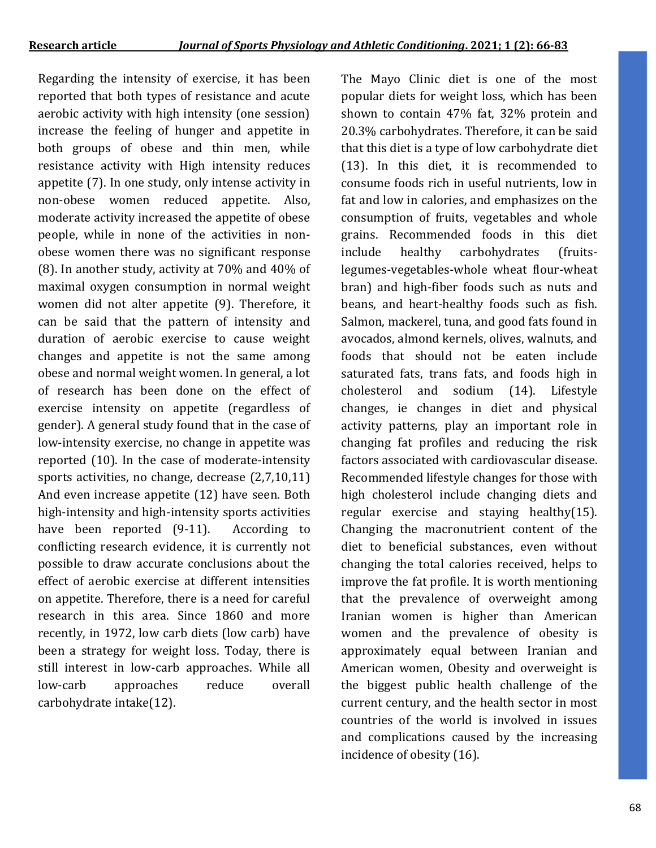Regarding the intensity of exercise, it has been reported that both types of resistance and acute aerobic activity with high intensity (one session) increase the feeling of hunger and appetite in both groups of obese and thin men, while resistance activity with High intensity reduces appetite (7). In one study, only intense activity in non-obese women reduced appetite. Also, moderate activity increased the appetite of obese people, while in none of the activities in nonobese women there was no significant response (8). In another study, activity at 70% and 40% of maximal oxygen consumption in normal weight women did not alter appetite (9). Therefore, it can be said that the pattern of intensity and duration of aerobic exercise to cause weight changes and appetite is not the same among obese and normal weight women. In general, a lot of research has been done on the effect of exercise intensity on appetite (regardless of gender). A general study found that in the case of low-intensity exercise, no change in appetite was reported (10). In the case of moderate-intensity sports activities, no change, decrease (2,7,10,11) And even increase appetite (12) have seen. Both high-intensity and high-intensity sports activities have been reported (9-11). According to conflicting research evidence, it is currently not possible to draw accurate conclusions about the effect of aerobic exercise at different intensities on appetite. Therefore, there is a need for careful research in this area. Since 1860 and more recently, in 1972, low carb diets (low carb) have been a strategy for weight loss. Today, there is still interest in low-carb approaches. While all low-carb approaches reduce overall carbohydrate intake(12).

The Mayo Clinic diet is one of the most popular diets for weight loss, which has been shown to contain 47% fat, 32% protein and 20.3% carbohydrates. Therefore, it can be said that this diet is a type of low carbohydrate diet (13). In this diet, it is recommended to consume foods rich in useful nutrients, low in fat and low in calories, and emphasizes on the consumption of fruits, vegetables and whole grains. Recommended foods in this diet include healthy carbohydrates (fruitslegumes-vegetables-whole wheat flour-wheat bran) and high-fiber foods such as nuts and beans, and heart-healthy foods such as fish. Salmon, mackerel, tuna, and good fats found in avocados, almond kernels, olives, walnuts, and foods that should not be eaten include saturated fats, trans fats, and foods high in cholesterol and sodium (14). Lifestyle changes, ie changes in diet and physical activity patterns, play an important role in changing fat profiles and reducing the risk factors associated with cardiovascular disease. Recommended lifestyle changes for those with high cholesterol include changing diets and regular exercise and staying healthy(15). Changing the macronutrient content of the diet to beneficial substances, even without changing the total calories received, helps to improve the fat profile. It is worth mentioning that the prevalence of overweight among Iranian women is higher than American women and the prevalence of obesity is approximately equal between Iranian and American women, Obesity and overweight is the biggest public health challenge of the current century, and the health sector in most countries of the world is involved in issues and complications caused by the increasing incidence of obesity (16).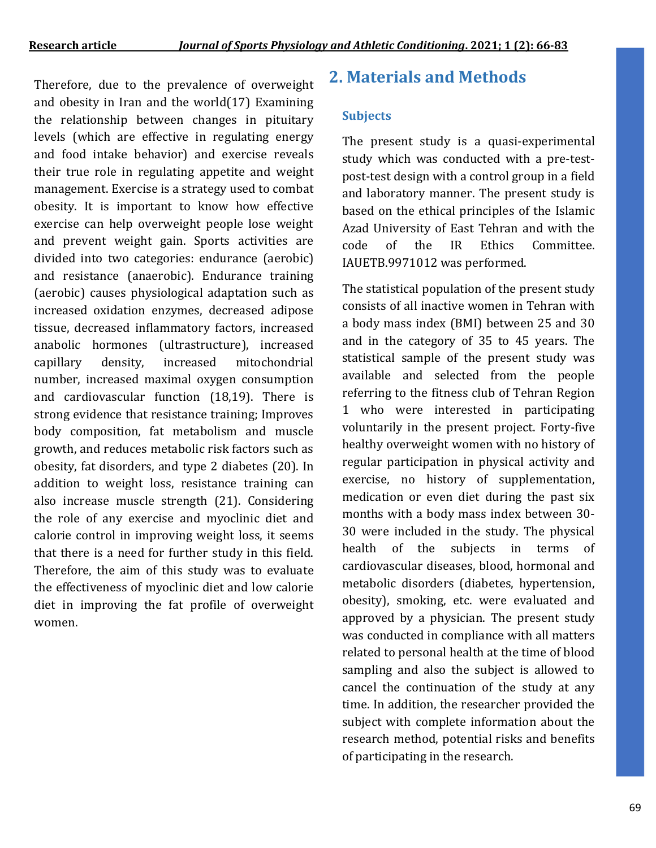Therefore, due to the prevalence of overweight and obesity in Iran and the world(17) Examining the relationship between changes in pituitary levels (which are effective in regulating energy and food intake behavior) and exercise reveals their true role in regulating appetite and weight management. Exercise is a strategy used to combat obesity. It is important to know how effective exercise can help overweight people lose weight and prevent weight gain. Sports activities are divided into two categories: endurance (aerobic) and resistance (anaerobic). Endurance training (aerobic) causes physiological adaptation such as increased oxidation enzymes, decreased adipose tissue, decreased inflammatory factors, increased anabolic hormones (ultrastructure), increased capillary density, increased mitochondrial number, increased maximal oxygen consumption and cardiovascular function (18,19). There is strong evidence that resistance training; Improves body composition, fat metabolism and muscle growth, and reduces metabolic risk factors such as obesity, fat disorders, and type 2 diabetes (20). In addition to weight loss, resistance training can also increase muscle strength (21). Considering the role of any exercise and myoclinic diet and calorie control in improving weight loss, it seems that there is a need for further study in this field. Therefore, the aim of this study was to evaluate the effectiveness of myoclinic diet and low calorie diet in improving the fat profile of overweight women.

### **2. Materials and Methods**

#### **Subjects**

The present study is a quasi-experimental study which was conducted with a pre-testpost-test design with a control group in a field and laboratory manner. The present study is based on the ethical principles of the Islamic Azad University of East Tehran and with the code of the IR Ethics Committee. IAUETB.9971012 was performed.

The statistical population of the present study consists of all inactive women in Tehran with a body mass index (BMI) between 25 and 30 and in the category of 35 to 45 years. The statistical sample of the present study was available and selected from the people referring to the fitness club of Tehran Region 1 who were interested in participating voluntarily in the present project. Forty-five healthy overweight women with no history of regular participation in physical activity and exercise, no history of supplementation, medication or even diet during the past six months with a body mass index between 30- 30 were included in the study. The physical health of the subjects in terms of cardiovascular diseases, blood, hormonal and metabolic disorders (diabetes, hypertension, obesity), smoking, etc. were evaluated and approved by a physician. The present study was conducted in compliance with all matters related to personal health at the time of blood sampling and also the subject is allowed to cancel the continuation of the study at any time. In addition, the researcher provided the subject with complete information about the research method, potential risks and benefits of participating in the research.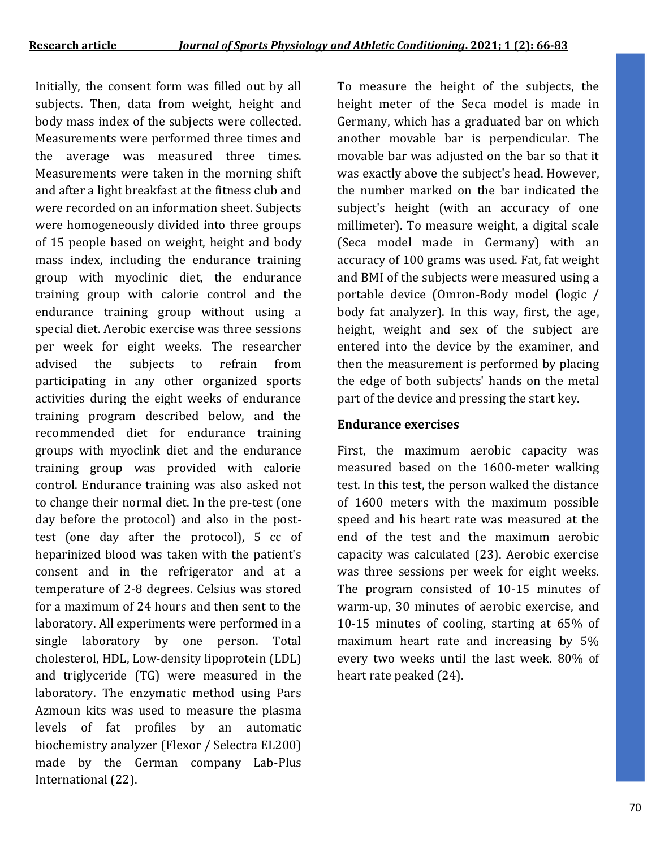Initially, the consent form was filled out by all subjects. Then, data from weight, height and body mass index of the subjects were collected. Measurements were performed three times and the average was measured three times. Measurements were taken in the morning shift and after a light breakfast at the fitness club and were recorded on an information sheet. Subjects were homogeneously divided into three groups of 15 people based on weight, height and body mass index, including the endurance training group with myoclinic diet, the endurance training group with calorie control and the endurance training group without using a special diet. Aerobic exercise was three sessions per week for eight weeks. The researcher advised the subjects to refrain from participating in any other organized sports activities during the eight weeks of endurance training program described below, and the recommended diet for endurance training groups with myoclink diet and the endurance training group was provided with calorie control. Endurance training was also asked not to change their normal diet. In the pre-test (one day before the protocol) and also in the posttest (one day after the protocol), 5 cc of heparinized blood was taken with the patient's consent and in the refrigerator and at a temperature of 2-8 degrees. Celsius was stored for a maximum of 24 hours and then sent to the laboratory. All experiments were performed in a single laboratory by one person. Total cholesterol, HDL, Low-density lipoprotein (LDL) and triglyceride (TG) were measured in the laboratory. The enzymatic method using Pars Azmoun kits was used to measure the plasma levels of fat profiles by an automatic biochemistry analyzer (Flexor / Selectra EL200) made by the German company Lab-Plus International (22).

To measure the height of the subjects, the height meter of the Seca model is made in Germany, which has a graduated bar on which another movable bar is perpendicular. The movable bar was adjusted on the bar so that it was exactly above the subject's head. However, the number marked on the bar indicated the subject's height (with an accuracy of one millimeter). To measure weight, a digital scale (Seca model made in Germany) with an accuracy of 100 grams was used. Fat, fat weight and BMI of the subjects were measured using a portable device (Omron-Body model (logic / body fat analyzer). In this way, first, the age, height, weight and sex of the subject are entered into the device by the examiner, and then the measurement is performed by placing the edge of both subjects' hands on the metal part of the device and pressing the start key.

#### **Endurance exercises**

First, the maximum aerobic capacity was measured based on the 1600-meter walking test. In this test, the person walked the distance of 1600 meters with the maximum possible speed and his heart rate was measured at the end of the test and the maximum aerobic capacity was calculated (23). Aerobic exercise was three sessions per week for eight weeks. The program consisted of 10-15 minutes of warm-up, 30 minutes of aerobic exercise, and 10-15 minutes of cooling, starting at 65% of maximum heart rate and increasing by 5% every two weeks until the last week. 80% of heart rate peaked (24).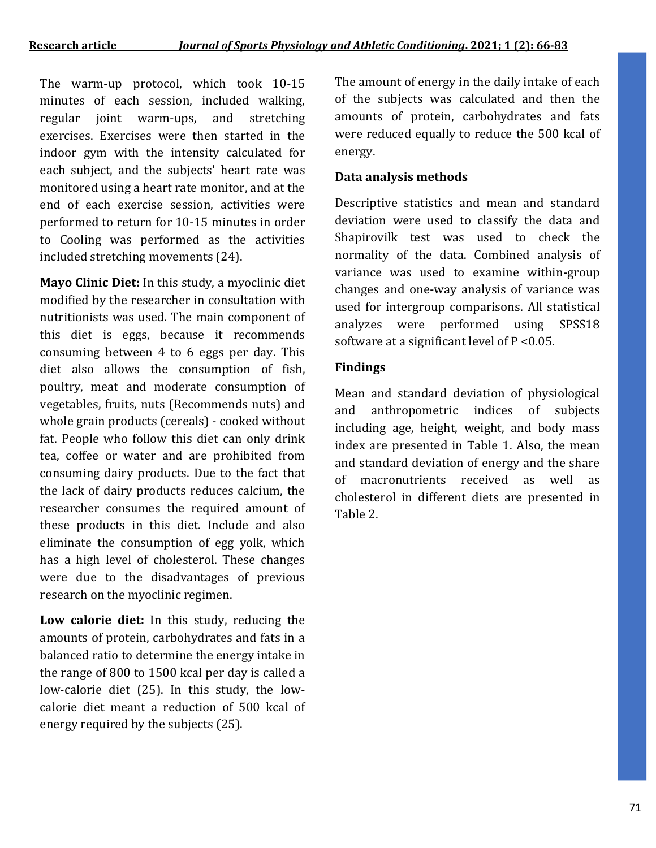The warm-up protocol, which took 10-15 minutes of each session, included walking, regular joint warm-ups, and stretching exercises. Exercises were then started in the indoor gym with the intensity calculated for each subject, and the subjects' heart rate was monitored using a heart rate monitor, and at the end of each exercise session, activities were performed to return for 10-15 minutes in order to Cooling was performed as the activities included stretching movements (24).

**Mayo Clinic Diet:** In this study, a myoclinic diet modified by the researcher in consultation with nutritionists was used. The main component of this diet is eggs, because it recommends consuming between 4 to 6 eggs per day. This diet also allows the consumption of fish, poultry, meat and moderate consumption of vegetables, fruits, nuts (Recommends nuts) and whole grain products (cereals) - cooked without fat. People who follow this diet can only drink tea, coffee or water and are prohibited from consuming dairy products. Due to the fact that the lack of dairy products reduces calcium, the researcher consumes the required amount of these products in this diet. Include and also eliminate the consumption of egg yolk, which has a high level of cholesterol. These changes were due to the disadvantages of previous research on the myoclinic regimen.

**Low calorie diet:** In this study, reducing the amounts of protein, carbohydrates and fats in a balanced ratio to determine the energy intake in the range of 800 to 1500 kcal per day is called a low-calorie diet (25). In this study, the lowcalorie diet meant a reduction of 500 kcal of energy required by the subjects (25).

The amount of energy in the daily intake of each of the subjects was calculated and then the amounts of protein, carbohydrates and fats were reduced equally to reduce the 500 kcal of energy.

#### **Data analysis methods**

Descriptive statistics and mean and standard deviation were used to classify the data and Shapirovilk test was used to check the normality of the data. Combined analysis of variance was used to examine within-group changes and one-way analysis of variance was used for intergroup comparisons. All statistical analyzes were performed using SPSS18 software at a significant level of P <0.05.

#### **Findings**

Mean and standard deviation of physiological and anthropometric indices of subjects including age, height, weight, and body mass index are presented in Table 1. Also, the mean and standard deviation of energy and the share of macronutrients received as well as cholesterol in different diets are presented in Table 2.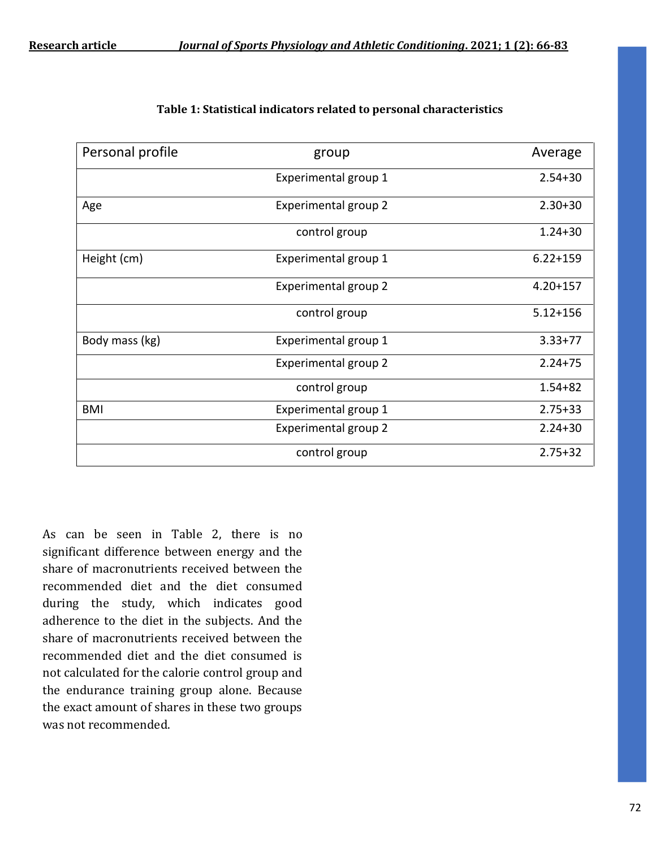| Table 1: Statistical indicators related to personal characteristics |  |
|---------------------------------------------------------------------|--|
|---------------------------------------------------------------------|--|

| Personal profile | group                       | Average      |
|------------------|-----------------------------|--------------|
|                  | Experimental group 1        | $2.54 + 30$  |
| Age              | Experimental group 2        | $2.30 + 30$  |
|                  | control group               | $1.24 + 30$  |
| Height (cm)      | Experimental group 1        | $6.22 + 159$ |
|                  | Experimental group 2        | $4.20 + 157$ |
|                  | control group               | $5.12 + 156$ |
| Body mass (kg)   | Experimental group 1        | $3.33 + 77$  |
|                  | <b>Experimental group 2</b> | $2.24 + 75$  |
|                  | control group               | $1.54 + 82$  |
| BMI              | Experimental group 1        | $2.75 + 33$  |
|                  | Experimental group 2        | $2.24 + 30$  |
|                  | control group               | $2.75 + 32$  |

As can be seen in Table 2, there is no significant difference between energy and the share of macronutrients received between the recommended diet and the diet consumed during the study, which indicates good adherence to the diet in the subjects. And the share of macronutrients received between the recommended diet and the diet consumed is not calculated for the calorie control group and the endurance training group alone. Because the exact amount of shares in these two groups was not recommended.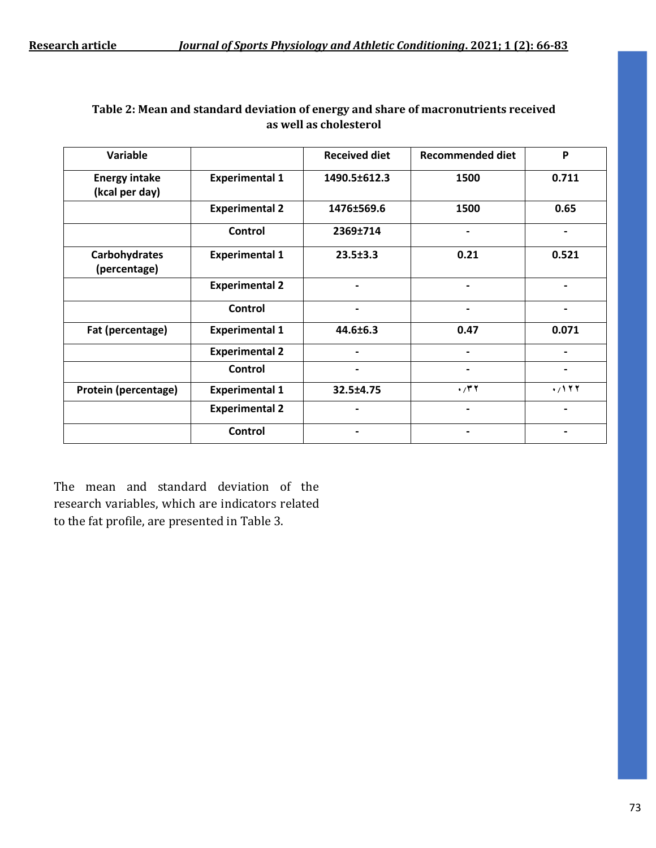| Variable                               |                       | <b>Received diet</b> | <b>Recommended diet</b> | P     |
|----------------------------------------|-----------------------|----------------------|-------------------------|-------|
| <b>Energy intake</b><br>(kcal per day) | <b>Experimental 1</b> | 1490.5±612.3         | 1500                    | 0.711 |
|                                        | <b>Experimental 2</b> | 1476±569.6           | 1500                    | 0.65  |
|                                        | Control               | 2369±714             | $\blacksquare$          | -     |
| Carbohydrates<br>(percentage)          | <b>Experimental 1</b> | $23.5 \pm 3.3$       | 0.21                    | 0.521 |
|                                        | <b>Experimental 2</b> |                      |                         |       |
|                                        | Control               |                      |                         |       |
| Fat (percentage)                       | <b>Experimental 1</b> | 44.6±6.3             | 0.47                    | 0.071 |
|                                        | <b>Experimental 2</b> | $\blacksquare$       | Ξ.                      | -     |
|                                        | Control               |                      |                         |       |
| Protein (percentage)                   | <b>Experimental 1</b> | 32.5±4.75            | $\cdot$ /۳۲             | .7177 |
|                                        | <b>Experimental 2</b> |                      |                         |       |
|                                        | <b>Control</b>        |                      |                         |       |

#### **Table 2: Mean and standard deviation of energy and share of macronutrients received as well as cholesterol**

The mean and standard deviation of the research variables, which are indicators related to the fat profile, are presented in Table 3.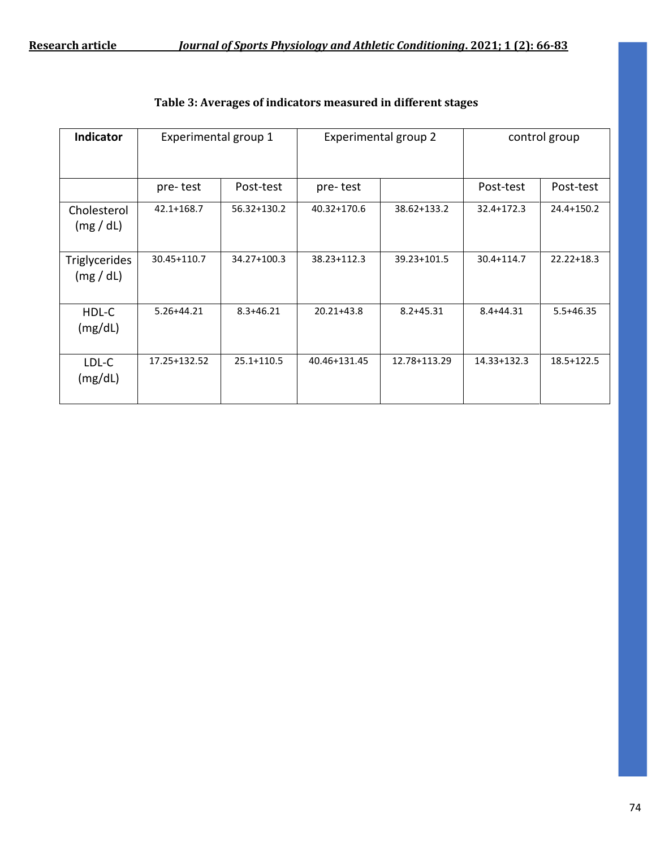| Indicator                       | Experimental group 1 |               | Experimental group 2 |               | control group |                |
|---------------------------------|----------------------|---------------|----------------------|---------------|---------------|----------------|
|                                 | pre-test             | Post-test     | pre-test             |               | Post-test     | Post-test      |
| Cholesterol<br>(mg/dL)          | 42.1+168.7           | 56.32+130.2   | 40.32+170.6          | 38.62+133.2   | 32.4+172.3    | 24.4+150.2     |
| <b>Triglycerides</b><br>(mg/dL) | 30.45+110.7          | 34.27+100.3   | 38.23+112.3          | 39.23+101.5   | 30.4+114.7    | $22.22 + 18.3$ |
| HDL-C<br>(mg/dL)                | $5.26 + 44.21$       | $8.3 + 46.21$ | $20.21 + 43.8$       | $8.2 + 45.31$ | $8.4 + 44.31$ | $5.5 + 46.35$  |
| LDL-C<br>(mg/dL)                | 17.25+132.52         | 25.1+110.5    | 40.46+131.45         | 12.78+113.29  | 14.33+132.3   | 18.5+122.5     |

#### **Table 3: Averages of indicators measured in different stages**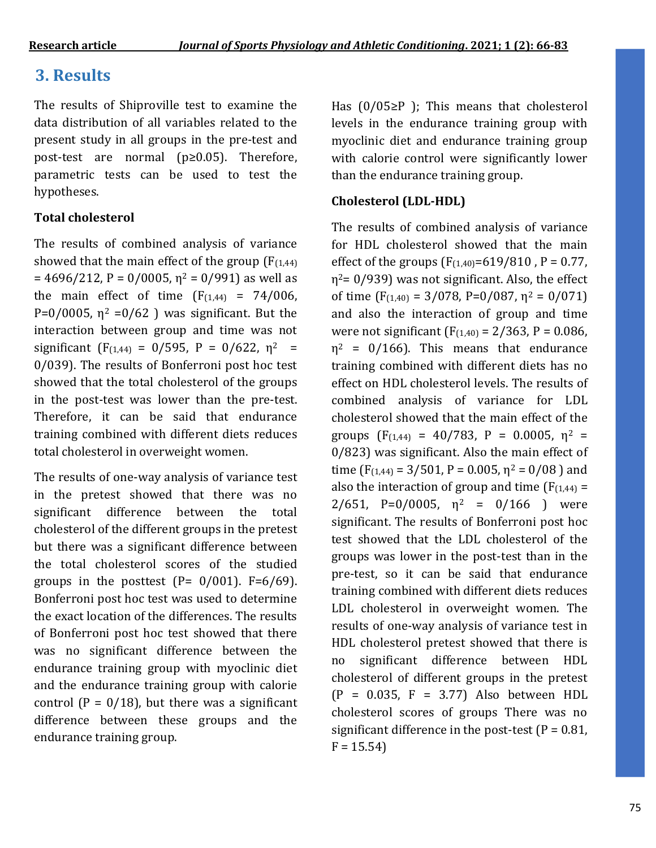## **3. Results**

The results of Shiproville test to examine the data distribution of all variables related to the present study in all groups in the pre-test and post-test are normal (p≥0.05). Therefore, parametric tests can be used to test the hypotheses.

#### **Total cholesterol**

The results of combined analysis of variance showed that the main effect of the group  $(F_{(1,44)})$  $= 4696/212$ , P = 0/0005,  $\eta^2 = 0/991$ ) as well as the main effect of time  $(F_{(1,44)} = 74/006,$  $P=0/0005$ ,  $\eta^2 = 0/62$  ) was significant. But the interaction between group and time was not significant ( $F_{(1,44)} = 0/595$ ,  $P = 0/622$ ,  $\eta^2 =$ 0/039). The results of Bonferroni post hoc test showed that the total cholesterol of the groups in the post-test was lower than the pre-test. Therefore, it can be said that endurance training combined with different diets reduces total cholesterol in overweight women.

The results of one-way analysis of variance test in the pretest showed that there was no significant difference between the total cholesterol of the different groups in the pretest but there was a significant difference between the total cholesterol scores of the studied groups in the posttest  $(P= 0/001)$ . F=6/69). Bonferroni post hoc test was used to determine the exact location of the differences. The results of Bonferroni post hoc test showed that there was no significant difference between the endurance training group with myoclinic diet and the endurance training group with calorie control  $(P = 0/18)$ , but there was a significant difference between these groups and the endurance training group.

Has (0/05≥P ); This means that cholesterol levels in the endurance training group with myoclinic diet and endurance training group with calorie control were significantly lower than the endurance training group.

#### **Cholesterol (LDL-HDL)**

The results of combined analysis of variance for HDL cholesterol showed that the main effect of the groups  $(F_{(1,40)} = 619/810)$ , P = 0.77,  $\eta^2$ = 0/939) was not significant. Also, the effect of time  $(F_{(1,40)} = 3/078, P=0/087, \eta^2 = 0/071)$ and also the interaction of group and time were not significant  $(F_{(1,40)} = 2/363, P = 0.086, P$  $\eta^2$  = 0/166). This means that endurance training combined with different diets has no effect on HDL cholesterol levels. The results of combined analysis of variance for LDL cholesterol showed that the main effect of the groups  $(F_{(1,44)} = 40/783, P = 0.0005, \eta^2 =$ 0/823) was significant. Also the main effect of time ( $F_{(1,44)} = 3/501$ ,  $P = 0.005$ ,  $\eta^2 = 0/08$ ) and also the interaction of group and time  $(F_{(1,44)} =$ 2/651, P=0/0005,  $\eta^2$  = 0/166 ) were significant. The results of Bonferroni post hoc test showed that the LDL cholesterol of the groups was lower in the post-test than in the pre-test, so it can be said that endurance training combined with different diets reduces LDL cholesterol in overweight women. The results of one-way analysis of variance test in HDL cholesterol pretest showed that there is no significant difference between HDL cholesterol of different groups in the pretest  $(P = 0.035, F = 3.77)$  Also between HDL cholesterol scores of groups There was no significant difference in the post-test  $(P = 0.81)$ ,  $F = 15.54$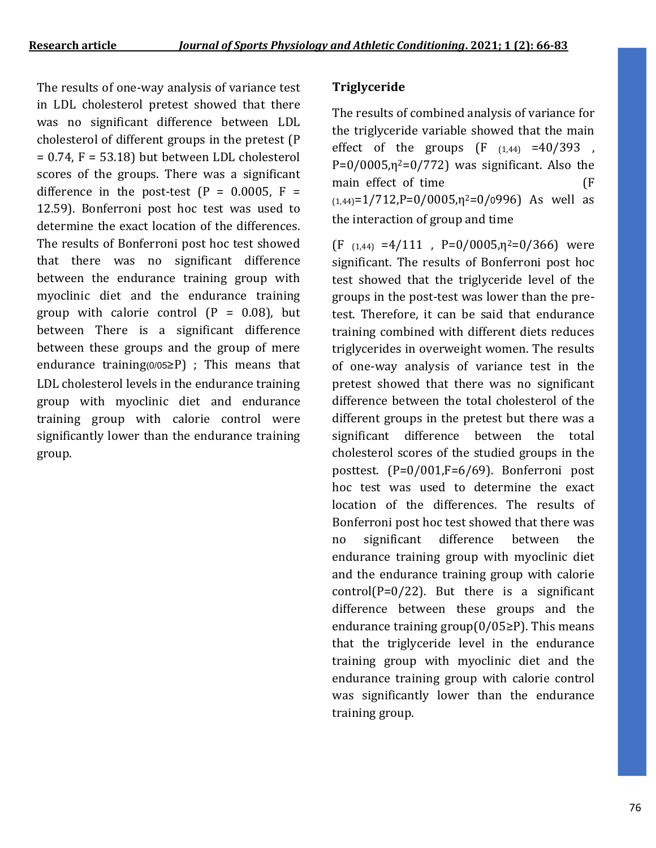The results of one-way analysis of variance test in LDL cholesterol pretest showed that there was no significant difference between LDL cholesterol of different groups in the pretest (P  $= 0.74$ ,  $F = 53.18$ ) but between LDL cholesterol scores of the groups. There was a significant difference in the post-test  $(P = 0.0005, F =$ 12.59). Bonferroni post hoc test was used to determine the exact location of the differences. The results of Bonferroni post hoc test showed that there was no significant difference between the endurance training group with myoclinic diet and the endurance training group with calorie control  $(P = 0.08)$ , but between There is a significant difference between these groups and the group of mere endurance training $(0/05\ge P)$ ; This means that LDL cholesterol levels in the endurance training group with myoclinic diet and endurance training group with calorie control were significantly lower than the endurance training group.

#### **Triglyceride**

The results of combined analysis of variance for the triglyceride variable showed that the main effect of the groups  $(F (1.44) = 40/393)$  $P=0/0005, \eta^2=0/772$  was significant. Also the main effect of time (F)  $(1,44)=1/712$ ,  $P=0/0005$ ,  $n^2=0/0996$  As well as the interaction of group and time

 $(F (1.44) = 4/111$ ,  $P=0/0005$ ,  $n^2=0/366$  were significant. The results of Bonferroni post hoc test showed that the triglyceride level of the groups in the post-test was lower than the pretest. Therefore, it can be said that endurance training combined with different diets reduces triglycerides in overweight women. The results of one-way analysis of variance test in the pretest showed that there was no significant difference between the total cholesterol of the different groups in the pretest but there was a significant difference between the total cholesterol scores of the studied groups in the posttest. (P=0/001,F=6/69). Bonferroni post hoc test was used to determine the exact location of the differences. The results of Bonferroni post hoc test showed that there was no significant difference between the endurance training group with myoclinic diet and the endurance training group with calorie  $control(P=0/22)$ . But there is a significant difference between these groups and the endurance training group(0/05≥P). This means that the triglyceride level in the endurance training group with myoclinic diet and the endurance training group with calorie control was significantly lower than the endurance training group.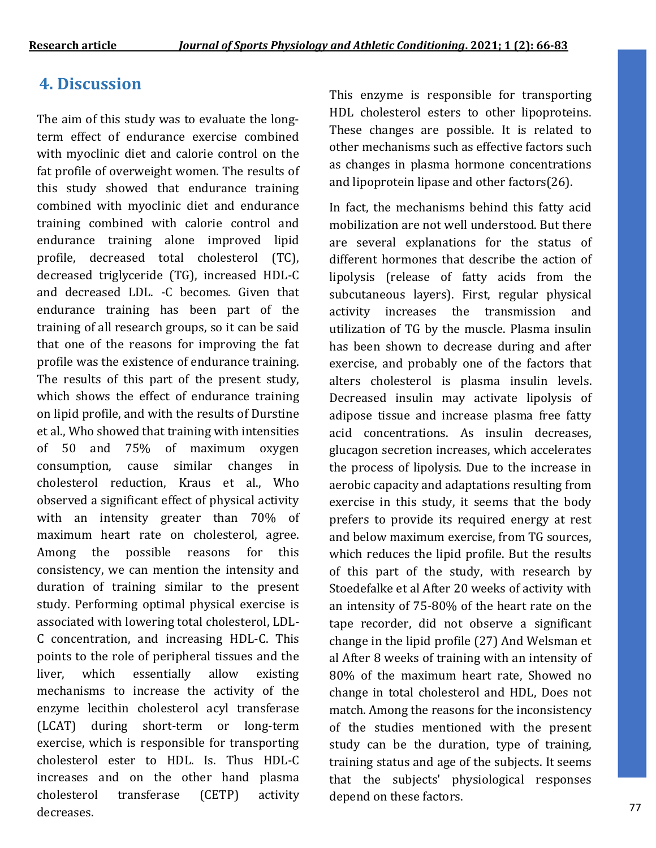## **4. Discussion**

The aim of this study was to evaluate the longterm effect of endurance exercise combined with myoclinic diet and calorie control on the fat profile of overweight women. The results of this study showed that endurance training combined with myoclinic diet and endurance training combined with calorie control and endurance training alone improved lipid profile, decreased total cholesterol (TC), decreased triglyceride (TG), increased HDL-C and decreased LDL. -C becomes. Given that endurance training has been part of the training of all research groups, so it can be said that one of the reasons for improving the fat profile was the existence of endurance training. The results of this part of the present study, which shows the effect of endurance training on lipid profile, and with the results of Durstine et al., Who showed that training with intensities of 50 and 75% of maximum oxygen consumption, cause similar changes in cholesterol reduction, Kraus et al., Who observed a significant effect of physical activity with an intensity greater than 70% of maximum heart rate on cholesterol, agree. Among the possible reasons for this consistency, we can mention the intensity and duration of training similar to the present study. Performing optimal physical exercise is associated with lowering total cholesterol, LDL-C concentration, and increasing HDL-C. This points to the role of peripheral tissues and the liver, which essentially allow existing mechanisms to increase the activity of the enzyme lecithin cholesterol acyl transferase (LCAT) during short-term or long-term exercise, which is responsible for transporting cholesterol ester to HDL. Is. Thus HDL-C increases and on the other hand plasma cholesterol transferase (CETP) activity decreases.

This enzyme is responsible for transporting HDL cholesterol esters to other lipoproteins. These changes are possible. It is related to other mechanisms such as effective factors such as changes in plasma hormone concentrations and lipoprotein lipase and other factors(26).

In fact, the mechanisms behind this fatty acid mobilization are not well understood. But there are several explanations for the status of different hormones that describe the action of lipolysis (release of fatty acids from the subcutaneous layers). First, regular physical activity increases the transmission and utilization of TG by the muscle. Plasma insulin has been shown to decrease during and after exercise, and probably one of the factors that alters cholesterol is plasma insulin levels. Decreased insulin may activate lipolysis of adipose tissue and increase plasma free fatty acid concentrations. As insulin decreases, glucagon secretion increases, which accelerates the process of lipolysis. Due to the increase in aerobic capacity and adaptations resulting from exercise in this study, it seems that the body prefers to provide its required energy at rest and below maximum exercise, from TG sources, which reduces the lipid profile. But the results of this part of the study, with research by Stoedefalke et al After 20 weeks of activity with an intensity of 75-80% of the heart rate on the tape recorder, did not observe a significant change in the lipid profile (27) And Welsman et al After 8 weeks of training with an intensity of 80% of the maximum heart rate, Showed no change in total cholesterol and HDL, Does not match. Among the reasons for the inconsistency of the studies mentioned with the present study can be the duration, type of training, training status and age of the subjects. It seems that the subjects' physiological responses depend on these factors.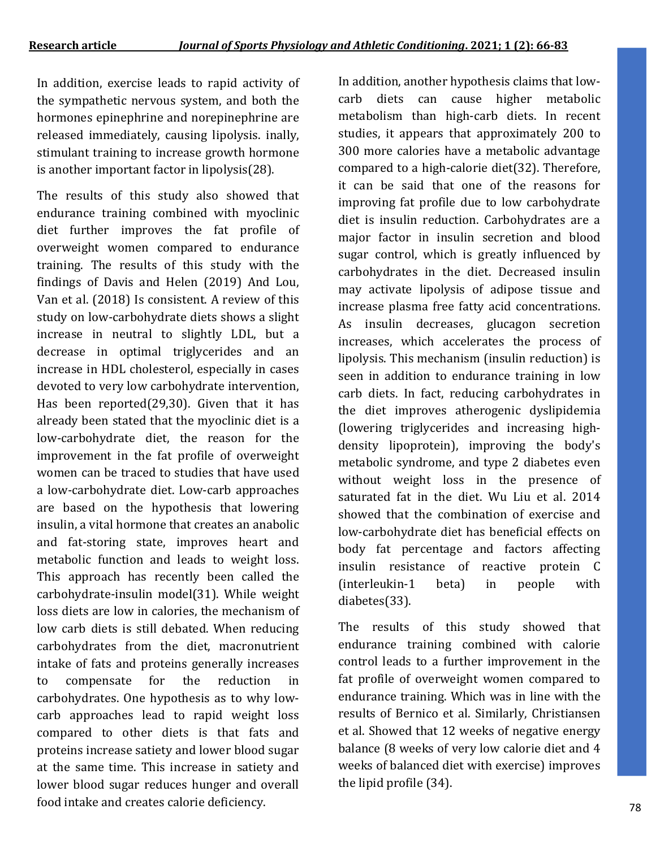In addition, exercise leads to rapid activity of the sympathetic nervous system, and both the hormones epinephrine and norepinephrine are released immediately, causing lipolysis. inally, stimulant training to increase growth hormone is another important factor in lipolysis(28).

The results of this study also showed that endurance training combined with myoclinic diet further improves the fat profile of overweight women compared to endurance training. The results of this study with the findings of Davis and Helen (2019) And Lou, Van et al. (2018) Is consistent. A review of this study on low-carbohydrate diets shows a slight increase in neutral to slightly LDL, but a decrease in optimal triglycerides and an increase in HDL cholesterol, especially in cases devoted to very low carbohydrate intervention, Has been reported(29,30). Given that it has already been stated that the myoclinic diet is a low-carbohydrate diet, the reason for the improvement in the fat profile of overweight women can be traced to studies that have used a low-carbohydrate diet. Low-carb approaches are based on the hypothesis that lowering insulin, a vital hormone that creates an anabolic and fat-storing state, improves heart and metabolic function and leads to weight loss. This approach has recently been called the carbohydrate-insulin model(31). While weight loss diets are low in calories, the mechanism of low carb diets is still debated. When reducing carbohydrates from the diet, macronutrient intake of fats and proteins generally increases to compensate for the reduction in carbohydrates. One hypothesis as to why lowcarb approaches lead to rapid weight loss compared to other diets is that fats and proteins increase satiety and lower blood sugar at the same time. This increase in satiety and lower blood sugar reduces hunger and overall food intake and creates calorie deficiency.

In addition, another hypothesis claims that lowcarb diets can cause higher metabolic metabolism than high-carb diets. In recent studies, it appears that approximately 200 to 300 more calories have a metabolic advantage compared to a high-calorie diet(32). Therefore, it can be said that one of the reasons for improving fat profile due to low carbohydrate diet is insulin reduction. Carbohydrates are a major factor in insulin secretion and blood sugar control, which is greatly influenced by carbohydrates in the diet. Decreased insulin may activate lipolysis of adipose tissue and increase plasma free fatty acid concentrations. As insulin decreases, glucagon secretion increases, which accelerates the process of lipolysis. This mechanism (insulin reduction) is seen in addition to endurance training in low carb diets. In fact, reducing carbohydrates in the diet improves atherogenic dyslipidemia (lowering triglycerides and increasing highdensity lipoprotein), improving the body's metabolic syndrome, and type 2 diabetes even without weight loss in the presence of saturated fat in the diet. Wu Liu et al. 2014 showed that the combination of exercise and low-carbohydrate diet has beneficial effects on body fat percentage and factors affecting insulin resistance of reactive protein C (interleukin-1 beta) in people with diabetes(33).

The results of this study showed that endurance training combined with calorie control leads to a further improvement in the fat profile of overweight women compared to endurance training. Which was in line with the results of Bernico et al. Similarly, Christiansen et al. Showed that 12 weeks of negative energy balance (8 weeks of very low calorie diet and 4 weeks of balanced diet with exercise) improves the lipid profile (34).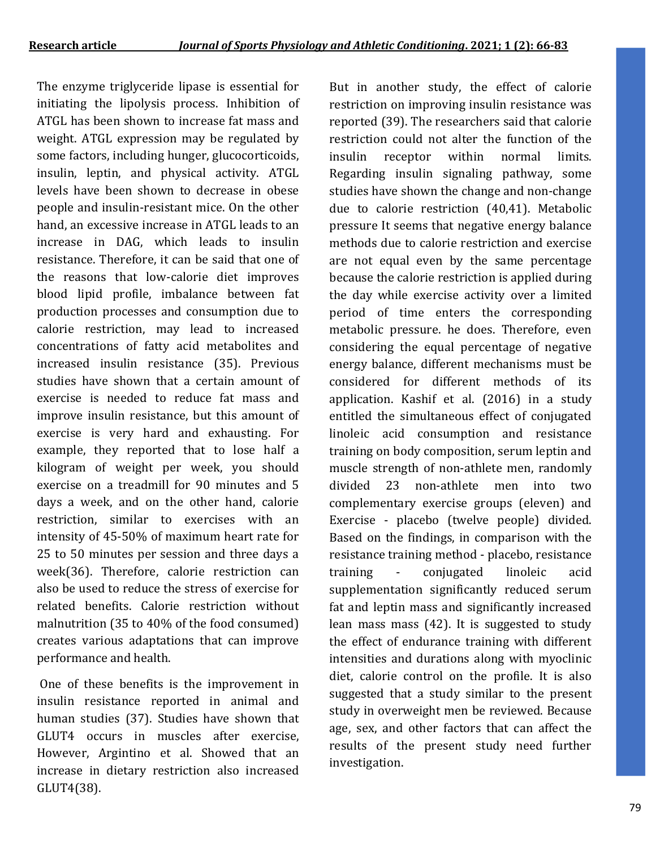The enzyme triglyceride lipase is essential for initiating the lipolysis process. Inhibition of ATGL has been shown to increase fat mass and weight. ATGL expression may be regulated by some factors, including hunger, glucocorticoids, insulin, leptin, and physical activity. ATGL levels have been shown to decrease in obese people and insulin-resistant mice. On the other hand, an excessive increase in ATGL leads to an increase in DAG, which leads to insulin resistance. Therefore, it can be said that one of the reasons that low-calorie diet improves blood lipid profile, imbalance between fat production processes and consumption due to calorie restriction, may lead to increased concentrations of fatty acid metabolites and increased insulin resistance (35). Previous studies have shown that a certain amount of exercise is needed to reduce fat mass and improve insulin resistance, but this amount of exercise is very hard and exhausting. For example, they reported that to lose half a kilogram of weight per week, you should exercise on a treadmill for 90 minutes and 5 days a week, and on the other hand, calorie restriction, similar to exercises with an intensity of 45-50% of maximum heart rate for 25 to 50 minutes per session and three days a week(36). Therefore, calorie restriction can also be used to reduce the stress of exercise for related benefits. Calorie restriction without malnutrition (35 to 40% of the food consumed) creates various adaptations that can improve performance and health.

One of these benefits is the improvement in insulin resistance reported in animal and human studies (37). Studies have shown that GLUT4 occurs in muscles after exercise, However, Argintino et al. Showed that an increase in dietary restriction also increased GLUT4(38).

But in another study, the effect of calorie restriction on improving insulin resistance was reported (39). The researchers said that calorie restriction could not alter the function of the insulin receptor within normal limits. Regarding insulin signaling pathway, some studies have shown the change and non-change due to calorie restriction (40,41). Metabolic pressure It seems that negative energy balance methods due to calorie restriction and exercise are not equal even by the same percentage because the calorie restriction is applied during the day while exercise activity over a limited period of time enters the corresponding metabolic pressure. he does. Therefore, even considering the equal percentage of negative energy balance, different mechanisms must be considered for different methods of its application. Kashif et al. (2016) in a study entitled the simultaneous effect of conjugated linoleic acid consumption and resistance training on body composition, serum leptin and muscle strength of non-athlete men, randomly divided 23 non-athlete men into two complementary exercise groups (eleven) and Exercise - placebo (twelve people) divided. Based on the findings, in comparison with the resistance training method - placebo, resistance training - conjugated linoleic acid supplementation significantly reduced serum fat and leptin mass and significantly increased lean mass mass (42). It is suggested to study the effect of endurance training with different intensities and durations along with myoclinic diet, calorie control on the profile. It is also suggested that a study similar to the present study in overweight men be reviewed. Because age, sex, and other factors that can affect the results of the present study need further investigation.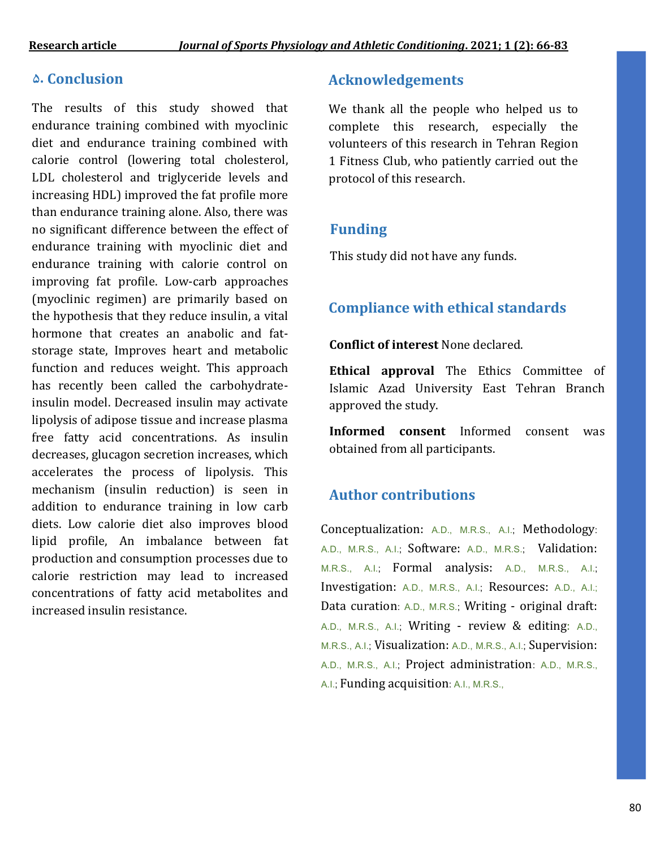#### **5. Conclusion**

The results of this study showed that endurance training combined with myoclinic diet and endurance training combined with calorie control (lowering total cholesterol, LDL cholesterol and triglyceride levels and increasing HDL) improved the fat profile more than endurance training alone. Also, there was no significant difference between the effect of endurance training with myoclinic diet and endurance training with calorie control on improving fat profile. Low-carb approaches (myoclinic regimen) are primarily based on the hypothesis that they reduce insulin, a vital hormone that creates an anabolic and fatstorage state, Improves heart and metabolic function and reduces weight. This approach has recently been called the carbohydrateinsulin model. Decreased insulin may activate lipolysis of adipose tissue and increase plasma free fatty acid concentrations. As insulin decreases, glucagon secretion increases, which accelerates the process of lipolysis. This mechanism (insulin reduction) is seen in addition to endurance training in low carb diets. Low calorie diet also improves blood lipid profile, An imbalance between fat production and consumption processes due to calorie restriction may lead to increased concentrations of fatty acid metabolites and increased insulin resistance.

#### **Acknowledgements**

We thank all the people who helped us to complete this research, especially the volunteers of this research in Tehran Region 1 Fitness Club, who patiently carried out the protocol of this research.

### **Funding**

This study did not have any funds.

### **Compliance with ethical standards**

#### **Conflict of interest** None declared.

**Ethical approval** The Ethics Committee of Islamic Azad University East Tehran Branch approved the study.

**Informed consent** Informed consent was obtained from all participants.

### **Author contributions**

Conceptualization: A.D., M.R.S., A.I.; Methodology: A.D., M.R.S., A.I.; Software: A.D., M.R.S.; Validation: M.R.S., A.I.; Formal analysis: A.D., M.R.S., A.I.; Investigation: A.D., M.R.S., A.I.; Resources: A.D., A.I.; Data curation: A.D., M.R.S.; Writing - original draft: A.D., M.R.S., A.I.; Writing - review & editing: A.D., M.R.S., A.I.; Visualization: A.D., M.R.S., A.I.; Supervision: A.D., M.R.S., A.I.; Project administration: A.D., M.R.S., A.I.; Funding acquisition: A.I., M.R.S.,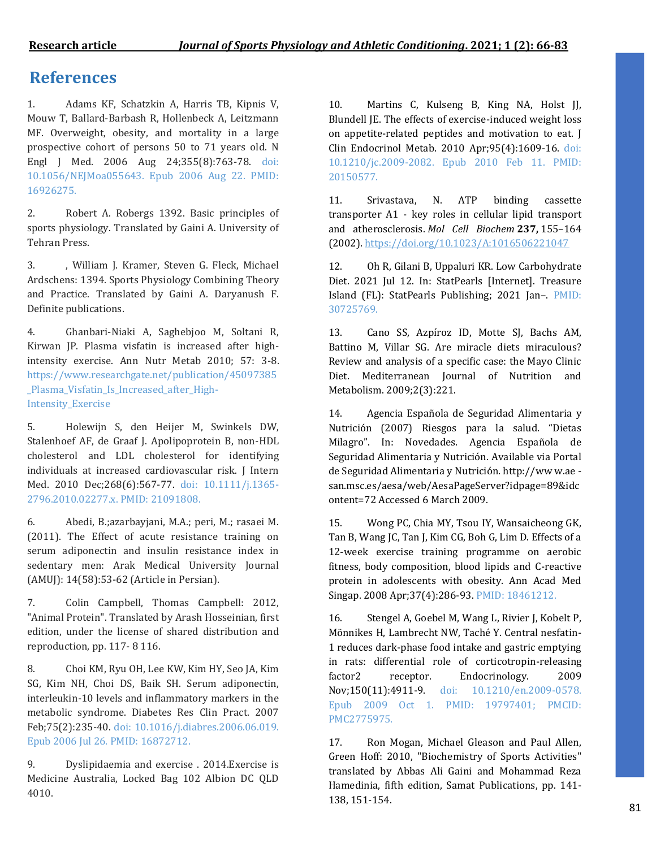### **References**

1. Adams KF, Schatzkin A, Harris TB, Kipnis V, Mouw T, Ballard-Barbash R, Hollenbeck A, Leitzmann MF. Overweight, obesity, and mortality in a large prospective cohort of persons 50 to 71 years old. N Engl J Med. 2006 Aug 24;355(8):763-78. doi: 10.1056/NEJMoa055643. Epub 2006 Aug 22. PMID: 16926275.

2. Robert A. Robergs 1392. Basic principles of sports physiology. Translated by Gaini A. University of Tehran Press.

3. , William J. Kramer, Steven G. Fleck, Michael Ardschens: 1394. Sports Physiology Combining Theory and Practice. Translated by Gaini A. Daryanush F. Definite publications.

4. Ghanbari-Niaki A, Saghebjoo M, Soltani R, Kirwan JP. Plasma visfatin is increased after highintensity exercise. Ann Nutr Metab 2010; 57: 3-8. https://www.researchgate.net/publication/45097385 \_Plasma\_Visfatin\_Is\_Increased\_after\_High-Intensity Exercise

5. Holewijn S, den Heijer M, Swinkels DW, Stalenhoef AF, de Graaf J. Apolipoprotein B, non-HDL cholesterol and LDL cholesterol for identifying individuals at increased cardiovascular risk. J Intern Med. 2010 Dec;268(6):567-77. doi: 10.1111/j.1365- 2796.2010.02277.x. PMID: 21091808.

6. Abedi, B.;azarbayjani, M.A.; peri, M.; rasaei M. (2011). The Effect of acute resistance training on serum adiponectin and insulin resistance index in sedentary men: Arak Medical University Journal (AMUJ): 14(58):53-62 (Article in Persian).

7. Colin Campbell, Thomas Campbell: 2012, "Animal Protein". Translated by Arash Hosseinian, first edition, under the license of shared distribution and reproduction, pp. 117- 8 116.

8. Choi KM, Ryu OH, Lee KW, Kim HY, Seo JA, Kim SG, Kim NH, Choi DS, Baik SH. Serum adiponectin, interleukin-10 levels and inflammatory markers in the metabolic syndrome. Diabetes Res Clin Pract. 2007 Feb;75(2):235-40. doi: 10.1016/j.diabres.2006.06.019. Epub 2006 Jul 26. PMID: 16872712.

9. Dyslipidaemia and exercise . 2014.Exercise is Medicine Australia, Locked Bag 102 Albion DC QLD 4010.

10. Martins C, Kulseng B, King NA, Holst JJ, Blundell JE. The effects of exercise-induced weight loss on appetite-related peptides and motivation to eat. J Clin Endocrinol Metab. 2010 Apr;95(4):1609-16. doi: 10.1210/jc.2009-2082. Epub 2010 Feb 11. PMID: 20150577.

11. Srivastava, N. ATP binding cassette transporter A1 - key roles in cellular lipid transport and atherosclerosis. *Mol Cell Biochem* **237,** 155–164 (2002)[. https://doi.org/10.1023/A:1016506221047](https://doi.org/10.1023/A:1016506221047)

12. Oh R, Gilani B, Uppaluri KR. Low Carbohydrate Diet. 2021 Jul 12. In: StatPearls [Internet]. Treasure Island (FL): StatPearls Publishing; 2021 Jan–. PMID: 30725769.

13. Cano SS, Azpíroz ID, Motte SJ, Bachs AM, Battino M, Villar SG. Are miracle diets miraculous? Review and analysis of a specific case: the Mayo Clinic Diet. Mediterranean Journal of Nutrition and Metabolism. 2009;2(3):221.

14. Agencia Española de Seguridad Alimentaria y Nutrición (2007) Riesgos para la salud. "Dietas Milagro". In: Novedades. Agencia Española de Seguridad Alimentaria y Nutrición. Available via Portal de Seguridad Alimentaria y Nutrición. http://ww w.ae san.msc.es/aesa/web/AesaPageServer?idpage=89&idc ontent=72 Accessed 6 March 2009.

15. Wong PC, Chia MY, Tsou IY, Wansaicheong GK, Tan B, Wang JC, Tan J, Kim CG, Boh G, Lim D. Effects of a 12-week exercise training programme on aerobic fitness, body composition, blood lipids and C-reactive protein in adolescents with obesity. Ann Acad Med Singap. 2008 Apr;37(4):286-93. PMID: 18461212.

16. Stengel A, Goebel M, Wang L, Rivier J, Kobelt P, Mönnikes H, Lambrecht NW, Taché Y. Central nesfatin-1 reduces dark-phase food intake and gastric emptying in rats: differential role of corticotropin-releasing factor2 receptor. Endocrinology. 2009 Nov;150(11):4911-9. doi: 10.1210/en.2009-0578. Epub 2009 Oct 1. PMID: 19797401; PMCID: PMC2775975.

17. Ron Mogan, Michael Gleason and Paul Allen, Green Hoff: 2010, "Biochemistry of Sports Activities" translated by Abbas Ali Gaini and Mohammad Reza Hamedinia, fifth edition, Samat Publications, pp. 141- 138, 151-154.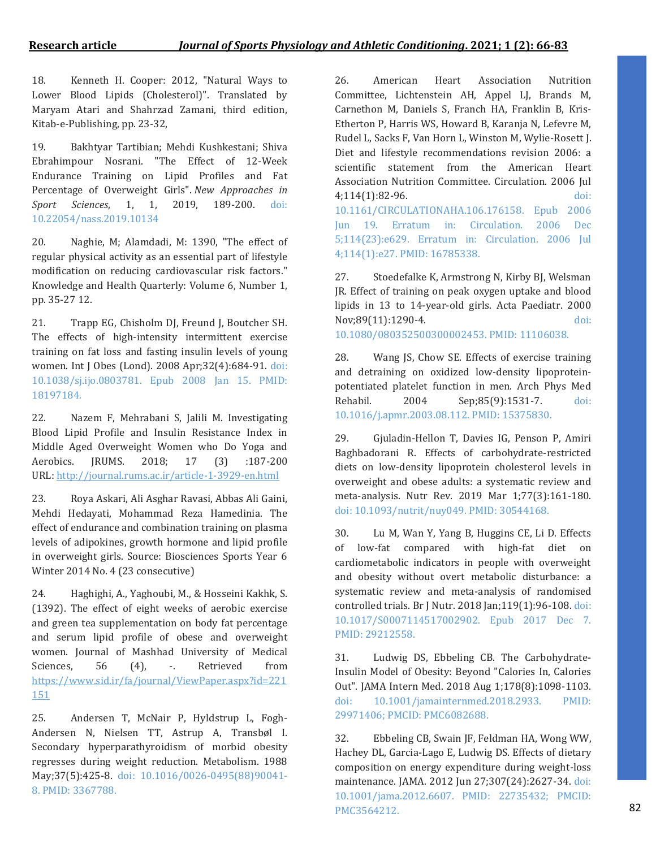18. Kenneth H. Cooper: 2012, "Natural Ways to Lower Blood Lipids (Cholesterol)". Translated by Maryam Atari and Shahrzad Zamani, third edition, Kitab-e-Publishing, pp. 23-32,

19. Bakhtyar Tartibian; Mehdi Kushkestani; Shiva Ebrahimpour Nosrani. "The Effect of 12-Week Endurance Training on Lipid Profiles and Fat Percentage of Overweight Girls". *New Approaches in Sport Sciences*, 1, 1, 2019, 189-200. doi: 10.22054/nass.2019.10134

20. Naghie, M; Alamdadi, M: 1390, "The effect of regular physical activity as an essential part of lifestyle modification on reducing cardiovascular risk factors." Knowledge and Health Quarterly: Volume 6, Number 1, pp. 35-27 12.

21. Trapp EG, Chisholm DJ, Freund J, Boutcher SH. The effects of high-intensity intermittent exercise training on fat loss and fasting insulin levels of young women. Int J Obes (Lond). 2008 Apr;32(4):684-91. doi: 10.1038/sj.ijo.0803781. Epub 2008 Jan 15. PMID: 18197184.

22. Nazem F, Mehrabani S, Jalili M. Investigating Blood Lipid Profile and Insulin Resistance Index in Middle Aged Overweight Women who Do Yoga and Aerobics. JRUMS. 2018; 17 (3) :187-200 URL: <http://journal.rums.ac.ir/article-1-3929-en.html>

23. Roya Askari, Ali Asghar Ravasi, Abbas Ali Gaini, Mehdi Hedayati, Mohammad Reza Hamedinia. The effect of endurance and combination training on plasma levels of adipokines, growth hormone and lipid profile in overweight girls. Source: Biosciences Sports Year 6 Winter 2014 No. 4 (23 consecutive)

24. Haghighi, A., Yaghoubi, M., & Hosseini Kakhk, S. (1392). The effect of eight weeks of aerobic exercise and green tea supplementation on body fat percentage and serum lipid profile of obese and overweight women. Journal of Mashhad University of Medical Sciences, 56 (4), -. Retrieved from [https://www.sid.ir/fa/journal/ViewPaper.aspx?id=221](https://www.sid.ir/fa/journal/ViewPaper.aspx?id=221151) [151](https://www.sid.ir/fa/journal/ViewPaper.aspx?id=221151)

25. Andersen T, McNair P, Hyldstrup L, Fogh-Andersen N, Nielsen TT, Astrup A, Transbøl I. Secondary hyperparathyroidism of morbid obesity regresses during weight reduction. Metabolism. 1988 May;37(5):425-8. doi: 10.1016/0026-0495(88)90041- 8. PMID: 3367788.

26. American Heart Association Nutrition Committee, Lichtenstein AH, Appel LJ, Brands M, Carnethon M, Daniels S, Franch HA, Franklin B, Kris-Etherton P, Harris WS, Howard B, Karanja N, Lefevre M, Rudel L, Sacks F, Van Horn L, Winston M, Wylie-Rosett J. Diet and lifestyle recommendations revision 2006: a scientific statement from the American Heart Association Nutrition Committee. Circulation. 2006 Jul 4;114(1):82-96. doi: 10.1161/CIRCULATIONAHA.106.176158. Epub 2006 Jun 19. Erratum in: Circulation. 2006 Dec 5;114(23):e629. Erratum in: Circulation. 2006 Jul 4;114(1):e27. PMID: 16785338.

27. Stoedefalke K, Armstrong N, Kirby BJ, Welsman JR. Effect of training on peak oxygen uptake and blood lipids in 13 to 14-year-old girls. Acta Paediatr. 2000 Nov;89(11):1290-4. doi: 10.1080/080352500300002453. PMID: 11106038.

28. Wang JS, Chow SE. Effects of exercise training and detraining on oxidized low-density lipoproteinpotentiated platelet function in men. Arch Phys Med Rehabil. 2004 Sep;85(9):1531-7. doi: 10.1016/j.apmr.2003.08.112. PMID: 15375830.

29. Gjuladin-Hellon T, Davies IG, Penson P, Amiri Baghbadorani R. Effects of carbohydrate-restricted diets on low-density lipoprotein cholesterol levels in overweight and obese adults: a systematic review and meta-analysis. Nutr Rev. 2019 Mar 1;77(3):161-180. doi: 10.1093/nutrit/nuy049. PMID: 30544168.

30. Lu M, Wan Y, Yang B, Huggins CE, Li D. Effects of low-fat compared with high-fat diet on cardiometabolic indicators in people with overweight and obesity without overt metabolic disturbance: a systematic review and meta-analysis of randomised controlled trials. Br J Nutr. 2018 Jan;119(1):96-108. doi: 10.1017/S0007114517002902. Epub 2017 Dec 7. PMID: 29212558.

31. Ludwig DS, Ebbeling CB. The Carbohydrate-Insulin Model of Obesity: Beyond "Calories In, Calories Out". JAMA Intern Med. 2018 Aug 1;178(8):1098-1103. doi: 10.1001/jamainternmed.2018.2933. PMID: 29971406; PMCID: PMC6082688.

32. Ebbeling CB, Swain JF, Feldman HA, Wong WW, Hachey DL, Garcia-Lago E, Ludwig DS. Effects of dietary composition on energy expenditure during weight-loss maintenance. JAMA. 2012 Jun 27;307(24):2627-34. doi: 10.1001/jama.2012.6607. PMID: 22735432; PMCID: PMC3564212.